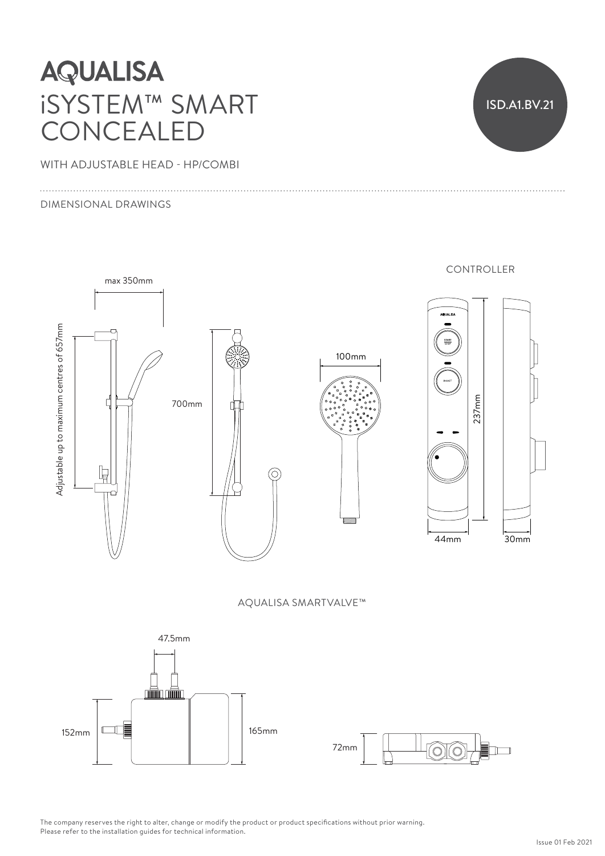# **AQUALISA** iSYSTEM™ SMART CONCEALED

WITH ADJUSTABLE HEAD - HP/COMBI

#### DIMENSIONAL DRAWINGS

ISD.A1.BV.21



AQUALISA SMARTVALVE™



The company reserves the right to alter, change or modify the product or product specifications without prior warning. Please refer to the installation guides for technical information.<br>-